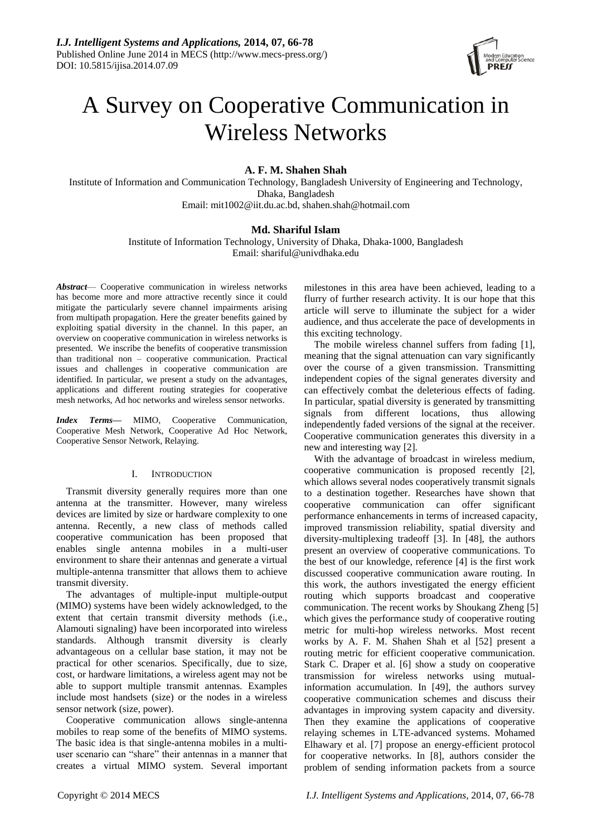

# A Survey on Cooperative Communication in Wireless Networks

# **A. F. M. Shahen Shah**

Institute of Information and Communication Technology, Bangladesh University of Engineering and Technology, Dhaka, Bangladesh Email: mit1002@iit.du.ac.bd, shahen.shah@hotmail.com

# **Md. Shariful Islam**

Institute of Information Technology, University of Dhaka, Dhaka-1000, Bangladesh Email: shariful@univdhaka.edu

*Abstract*— Cooperative communication in wireless networks has become more and more attractive recently since it could mitigate the particularly severe channel impairments arising from multipath propagation. Here the greater benefits gained by exploiting spatial diversity in the channel. In this paper, an overview on cooperative communication in wireless networks is presented. We inscribe the benefits of cooperative transmission than traditional non – cooperative communication. Practical issues and challenges in cooperative communication are identified. In particular, we present a study on the advantages, applications and different routing strategies for cooperative mesh networks, Ad hoc networks and wireless sensor networks.

*Index Terms***—** MIMO, Cooperative Communication, Cooperative Mesh Network, Cooperative Ad Hoc Network, Cooperative Sensor Network, Relaying.

# I. INTRODUCTION

Transmit diversity generally requires more than one antenna at the transmitter. However, many wireless devices are limited by size or hardware complexity to one antenna. Recently, a new class of methods called cooperative communication has been proposed that enables single antenna mobiles in a multi-user environment to share their antennas and generate a virtual multiple-antenna transmitter that allows them to achieve transmit diversity.

The advantages of multiple-input multiple-output (MIMO) systems have been widely acknowledged, to the extent that certain transmit diversity methods (i.e., Alamouti signaling) have been incorporated into wireless standards. Although transmit diversity is clearly advantageous on a cellular base station, it may not be practical for other scenarios. Specifically, due to size, cost, or hardware limitations, a wireless agent may not be able to support multiple transmit antennas. Examples include most handsets (size) or the nodes in a wireless sensor network (size, power).

Cooperative communication allows single-antenna mobiles to reap some of the benefits of MIMO systems. The basic idea is that single-antenna mobiles in a multiuser scenario can "share" their antennas in a manner that creates a virtual MIMO system. Several important milestones in this area have been achieved, leading to a flurry of further research activity. It is our hope that this article will serve to illuminate the subject for a wider audience, and thus accelerate the pace of developments in this exciting technology.

The mobile wireless channel suffers from fading [1], meaning that the signal attenuation can vary significantly over the course of a given transmission. Transmitting independent copies of the signal generates diversity and can effectively combat the deleterious effects of fading. In particular, spatial diversity is generated by transmitting signals from different locations, thus allowing independently faded versions of the signal at the receiver. Cooperative communication generates this diversity in a new and interesting way [2].

With the advantage of broadcast in wireless medium, cooperative communication is proposed recently [2], which allows several nodes cooperatively transmit signals to a destination together. Researches have shown that cooperative communication can offer significant performance enhancements in terms of increased capacity, improved transmission reliability, spatial diversity and diversity-multiplexing tradeoff [3]. In [48], the authors present an overview of cooperative communications. To the best of our knowledge, reference [4] is the first work discussed cooperative communication aware routing. In this work, the authors investigated the energy efficient routing which supports broadcast and cooperative communication. The recent works by Shoukang Zheng [5] which gives the performance study of cooperative routing metric for multi-hop wireless networks. Most recent works by A. F. M. Shahen Shah et al [52] present a routing metric for efficient cooperative communication. Stark C. Draper et al. [6] show a study on cooperative transmission for wireless networks using mutualinformation accumulation. In [49], the authors survey cooperative communication schemes and discuss their advantages in improving system capacity and diversity. Then they examine the applications of cooperative relaying schemes in LTE-advanced systems. Mohamed Elhawary et al. [7] propose an energy-efficient protocol for cooperative networks. In [8], authors consider the problem of sending information packets from a source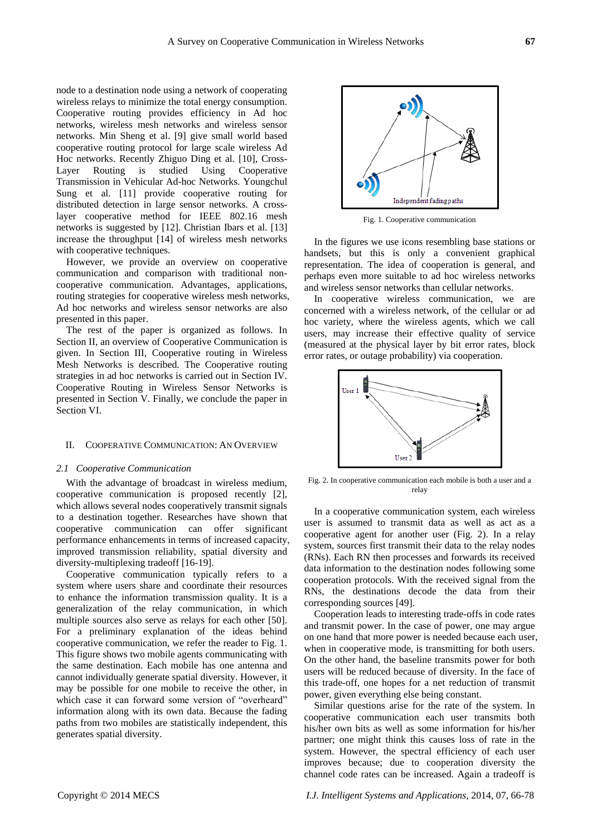node to a destination node using a network of cooperating wireless relays to minimize the total energy consumption. Cooperative routing provides efficiency in Ad hoc networks, wireless mesh networks and wireless sensor networks. Min Sheng et al. [9] give small world based cooperative routing protocol for large scale wireless Ad Hoc networks. Recently Zhiguo Ding et al. [10], Cross-Layer Routing is studied Using Cooperative Transmission in Vehicular Ad-hoc Networks. Youngchul Sung et al. [11] provide cooperative routing for distributed detection in large sensor networks. A crosslayer cooperative method for IEEE 802.16 mesh networks is suggested by [12]. Christian Ibars et al. [13] increase the throughput [14] of wireless mesh networks with cooperative techniques.

However, we provide an overview on cooperative communication and comparison with traditional noncooperative communication. Advantages, applications, routing strategies for cooperative wireless mesh networks, Ad hoc networks and wireless sensor networks are also presented in this paper.

The rest of the paper is organized as follows. In Section II, an overview of Cooperative Communication is given. In Section III, Cooperative routing in Wireless Mesh Networks is described. The Cooperative routing strategies in ad hoc networks is carried out in Section IV. Cooperative Routing in Wireless Sensor Networks is presented in Section V. Finally, we conclude the paper in Section VI.

#### II. COOPERATIVE COMMUNICATION: AN OVERVIEW

#### *2.1 Cooperative Communication*

With the advantage of broadcast in wireless medium, cooperative communication is proposed recently [2], which allows several nodes cooperatively transmit signals to a destination together. Researches have shown that cooperative communication can offer significant performance enhancements in terms of increased capacity, improved transmission reliability, spatial diversity and diversity-multiplexing tradeoff [16-19].

Cooperative communication typically refers to a system where users share and coordinate their resources to enhance the information transmission quality. It is a generalization of the relay communication, in which multiple sources also serve as relays for each other [50]. For a preliminary explanation of the ideas behind cooperative communication, we refer the reader to Fig. 1. This figure shows two mobile agents communicating with the same destination. Each mobile has one antenna and cannot individually generate spatial diversity. However, it may be possible for one mobile to receive the other, in which case it can forward some version of "overheard" information along with its own data. Because the fading paths from two mobiles are statistically independent, this generates spatial diversity.



Fig. 1. Cooperative communication

In the figures we use icons resembling base stations or handsets, but this is only a convenient graphical representation. The idea of cooperation is general, and perhaps even more suitable to ad hoc wireless networks and wireless sensor networks than cellular networks.

In cooperative wireless communication, we are concerned with a wireless network, of the cellular or ad hoc variety, where the wireless agents, which we call users, may increase their effective quality of service (measured at the physical layer by bit error rates, block error rates, or outage probability) via cooperation.



Fig. 2. In cooperative communication each mobile is both a user and a relay

In a cooperative communication system, each wireless user is assumed to transmit data as well as act as a cooperative agent for another user (Fig. 2). In a relay system, sources first transmit their data to the relay nodes (RNs). Each RN then processes and forwards its received data information to the destination nodes following some cooperation protocols. With the received signal from the RNs, the destinations decode the data from their corresponding sources [49].

Cooperation leads to interesting trade-offs in code rates and transmit power. In the case of power, one may argue on one hand that more power is needed because each user, when in cooperative mode, is transmitting for both users. On the other hand, the baseline transmits power for both users will be reduced because of diversity. In the face of this trade-off, one hopes for a net reduction of transmit power, given everything else being constant.

Similar questions arise for the rate of the system. In cooperative communication each user transmits both his/her own bits as well as some information for his/her partner; one might think this causes loss of rate in the system. However, the spectral efficiency of each user improves because; due to cooperation diversity the channel code rates can be increased. Again a tradeoff is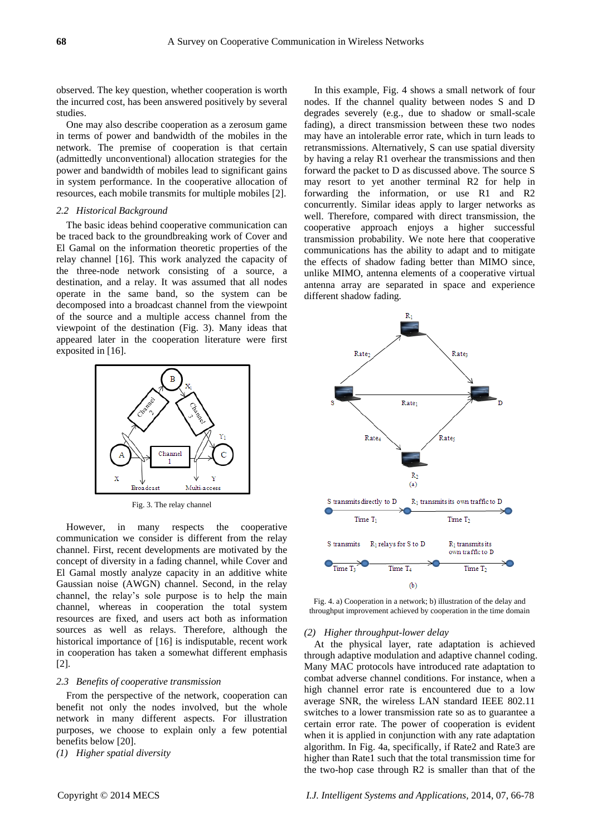observed. The key question, whether cooperation is worth the incurred cost, has been answered positively by several studies.

One may also describe cooperation as a zerosum game in terms of power and bandwidth of the mobiles in the network. The premise of cooperation is that certain (admittedly unconventional) allocation strategies for the power and bandwidth of mobiles lead to significant gains in system performance. In the cooperative allocation of resources, each mobile transmits for multiple mobiles [2].

#### *2.2 Historical Background*

The basic ideas behind cooperative communication can be traced back to the groundbreaking work of Cover and El Gamal on the information theoretic properties of the relay channel [16]. This work analyzed the capacity of the three-node network consisting of a source, a destination, and a relay. It was assumed that all nodes operate in the same band, so the system can be decomposed into a broadcast channel from the viewpoint of the source and a multiple access channel from the viewpoint of the destination (Fig. 3). Many ideas that appeared later in the cooperation literature were first exposited in [16].



Fig. 3. The relay channel

However, in many respects the cooperative communication we consider is different from the relay channel. First, recent developments are motivated by the concept of diversity in a fading channel, while Cover and El Gamal mostly analyze capacity in an additive white Gaussian noise (AWGN) channel. Second, in the relay channel, the relay's sole purpose is to help the main channel, whereas in cooperation the total system resources are fixed, and users act both as information sources as well as relays. Therefore, although the historical importance of [16] is indisputable, recent work in cooperation has taken a somewhat different emphasis [2].

# *2.3 Benefits of cooperative transmission*

From the perspective of the network, cooperation can benefit not only the nodes involved, but the whole network in many different aspects. For illustration purposes, we choose to explain only a few potential benefits below [20].

*(1) Higher spatial diversity* 

In this example, Fig. 4 shows a small network of four nodes. If the channel quality between nodes S and D degrades severely (e.g., due to shadow or small-scale fading), a direct transmission between these two nodes may have an intolerable error rate, which in turn leads to retransmissions. Alternatively, S can use spatial diversity by having a relay R1 overhear the transmissions and then forward the packet to D as discussed above. The source S may resort to yet another terminal R2 for help in forwarding the information, or use R1 and R2 concurrently. Similar ideas apply to larger networks as well. Therefore, compared with direct transmission, the cooperative approach enjoys a higher successful transmission probability. We note here that cooperative communications has the ability to adapt and to mitigate the effects of shadow fading better than MIMO since, unlike MIMO, antenna elements of a cooperative virtual antenna array are separated in space and experience different shadow fading*.*



Fig. 4. a) Cooperation in a network; b) illustration of the delay and throughput improvement achieved by cooperation in the time domain

#### *(2) Higher throughput-lower delay*

At the physical layer, rate adaptation is achieved through adaptive modulation and adaptive channel coding. Many MAC protocols have introduced rate adaptation to combat adverse channel conditions. For instance, when a high channel error rate is encountered due to a low average SNR, the wireless LAN standard IEEE 802.11 switches to a lower transmission rate so as to guarantee a certain error rate. The power of cooperation is evident when it is applied in conjunction with any rate adaptation algorithm. In Fig. 4a, specifically, if Rate2 and Rate3 are higher than Rate1 such that the total transmission time for the two-hop case through R2 is smaller than that of the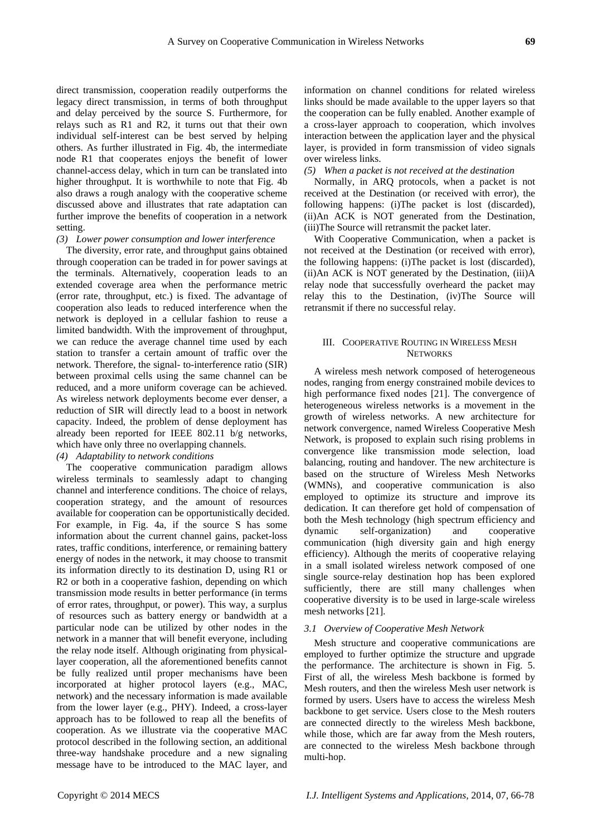direct transmission, cooperation readily outperforms the legacy direct transmission, in terms of both throughput and delay perceived by the source S. Furthermore, for relays such as R1 and R2, it turns out that their own individual self-interest can be best served by helping others. As further illustrated in Fig. 4b, the intermediate node R1 that cooperates enjoys the benefit of lower channel-access delay, which in turn can be translated into higher throughput. It is worthwhile to note that Fig. 4b also draws a rough analogy with the cooperative scheme discussed above and illustrates that rate adaptation can further improve the benefits of cooperation in a network setting.

#### *(3) Lower power consumption and lower interference*

The diversity, error rate, and throughput gains obtained through cooperation can be traded in for power savings at the terminals. Alternatively, cooperation leads to an extended coverage area when the performance metric (error rate, throughput, etc.) is fixed. The advantage of cooperation also leads to reduced interference when the network is deployed in a cellular fashion to reuse a limited bandwidth. With the improvement of throughput, we can reduce the average channel time used by each station to transfer a certain amount of traffic over the network. Therefore, the signal- to-interference ratio (SIR) between proximal cells using the same channel can be reduced, and a more uniform coverage can be achieved. As wireless network deployments become ever denser, a reduction of SIR will directly lead to a boost in network capacity. Indeed, the problem of dense deployment has already been reported for IEEE 802.11 b/g networks, which have only three no overlapping channels.

# *(4) Adaptability to network conditions*

The cooperative communication paradigm allows wireless terminals to seamlessly adapt to changing channel and interference conditions. The choice of relays, cooperation strategy, and the amount of resources available for cooperation can be opportunistically decided. For example, in Fig. 4a, if the source S has some information about the current channel gains, packet-loss rates, traffic conditions, interference, or remaining battery energy of nodes in the network, it may choose to transmit its information directly to its destination D, using R1 or R2 or both in a cooperative fashion, depending on which transmission mode results in better performance (in terms of error rates, throughput, or power). This way, a surplus of resources such as battery energy or bandwidth at a particular node can be utilized by other nodes in the network in a manner that will benefit everyone, including the relay node itself. Although originating from physicallayer cooperation, all the aforementioned benefits cannot be fully realized until proper mechanisms have been incorporated at higher protocol layers (e.g., MAC, network) and the necessary information is made available from the lower layer (e.g., PHY). Indeed, a cross-layer approach has to be followed to reap all the benefits of cooperation. As we illustrate via the cooperative MAC protocol described in the following section, an additional three-way handshake procedure and a new signaling message have to be introduced to the MAC layer, and

information on channel conditions for related wireless links should be made available to the upper layers so that the cooperation can be fully enabled. Another example of a cross-layer approach to cooperation, which involves interaction between the application layer and the physical layer, is provided in form transmission of video signals over wireless links.

#### *(5) When a packet is not received at the destination*

Normally, in ARQ protocols, when a packet is not received at the Destination (or received with error), the following happens: (i)The packet is lost (discarded), (ii)An ACK is NOT generated from the Destination, (iii)The Source will retransmit the packet later.

With Cooperative Communication, when a packet is not received at the Destination (or received with error), the following happens: (i)The packet is lost (discarded), (ii)An ACK is NOT generated by the Destination, (iii)A relay node that successfully overheard the packet may relay this to the Destination, (iv)The Source will retransmit if there no successful relay.

# III. COOPERATIVE ROUTING IN WIRELESS MESH **NETWORKS**

A wireless mesh network composed of heterogeneous nodes, ranging from energy constrained mobile devices to high performance fixed nodes [21]. The convergence of heterogeneous wireless networks is a movement in the growth of wireless networks. A new architecture for network convergence, named Wireless Cooperative Mesh Network, is proposed to explain such rising problems in convergence like transmission mode selection, load balancing, routing and handover. The new architecture is based on the structure of Wireless Mesh Networks (WMNs), and cooperative communication is also employed to optimize its structure and improve its dedication. It can therefore get hold of compensation of both the Mesh technology (high spectrum efficiency and dynamic self-organization) and cooperative communication (high diversity gain and high energy efficiency). Although the merits of cooperative relaying in a small isolated wireless network composed of one single source-relay destination hop has been explored sufficiently, there are still many challenges when cooperative diversity is to be used in large-scale wireless mesh networks [21].

#### *3.1 Overview of Cooperative Mesh Network*

Mesh structure and cooperative communications are employed to further optimize the structure and upgrade the performance. The architecture is shown in Fig. 5. First of all, the wireless Mesh backbone is formed by Mesh routers, and then the wireless Mesh user network is formed by users. Users have to access the wireless Mesh backbone to get service. Users close to the Mesh routers are connected directly to the wireless Mesh backbone, while those, which are far away from the Mesh routers, are connected to the wireless Mesh backbone through multi-hop.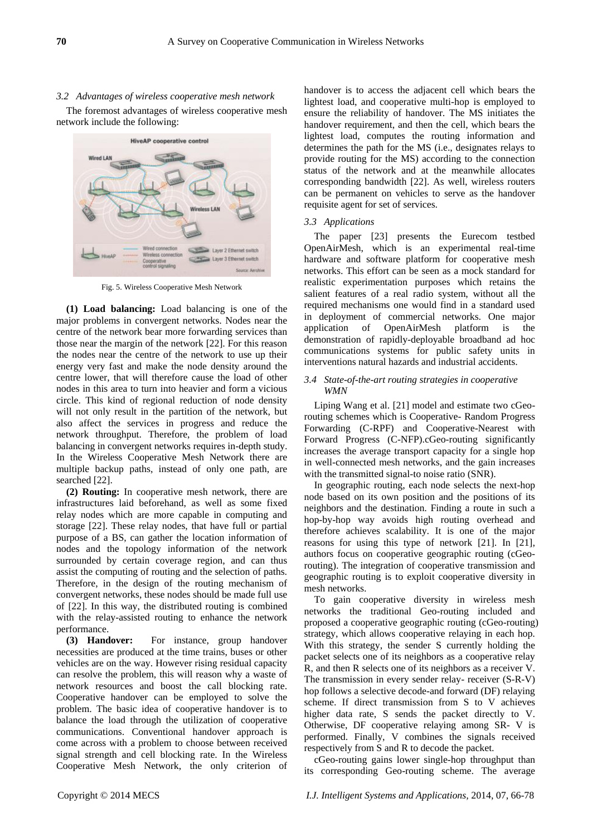*3.2 Advantages of wireless cooperative mesh network*

The foremost advantages of wireless cooperative mesh network include the following:



Fig. 5. Wireless Cooperative Mesh Network

**(1) Load balancing:** Load balancing is one of the major problems in convergent networks. Nodes near the centre of the network bear more forwarding services than those near the margin of the network [22]. For this reason the nodes near the centre of the network to use up their energy very fast and make the node density around the centre lower, that will therefore cause the load of other nodes in this area to turn into heavier and form a vicious circle. This kind of regional reduction of node density will not only result in the partition of the network, but also affect the services in progress and reduce the network throughput. Therefore, the problem of load balancing in convergent networks requires in-depth study. In the Wireless Cooperative Mesh Network there are multiple backup paths, instead of only one path, are searched [22].

**(2) Routing:** In cooperative mesh network, there are infrastructures laid beforehand, as well as some fixed relay nodes which are more capable in computing and storage [22]. These relay nodes, that have full or partial purpose of a BS, can gather the location information of nodes and the topology information of the network surrounded by certain coverage region, and can thus assist the computing of routing and the selection of paths. Therefore, in the design of the routing mechanism of convergent networks, these nodes should be made full use of [22]. In this way, the distributed routing is combined with the relay-assisted routing to enhance the network performance.

**(3) Handover:** For instance, group handover necessities are produced at the time trains, buses or other vehicles are on the way. However rising residual capacity can resolve the problem, this will reason why a waste of network resources and boost the call blocking rate. Cooperative handover can be employed to solve the problem. The basic idea of cooperative handover is to balance the load through the utilization of cooperative communications. Conventional handover approach is come across with a problem to choose between received signal strength and cell blocking rate. In the Wireless Cooperative Mesh Network, the only criterion of handover is to access the adjacent cell which bears the lightest load, and cooperative multi-hop is employed to ensure the reliability of handover. The MS initiates the handover requirement, and then the cell, which bears the lightest load, computes the routing information and determines the path for the MS (i.e., designates relays to provide routing for the MS) according to the connection status of the network and at the meanwhile allocates corresponding bandwidth [22]. As well, wireless routers can be permanent on vehicles to serve as the handover requisite agent for set of services.

#### *3.3 Applications*

The paper [23] presents the Eurecom testbed OpenAirMesh, which is an experimental real-time hardware and software platform for cooperative mesh networks. This effort can be seen as a mock standard for realistic experimentation purposes which retains the salient features of a real radio system, without all the required mechanisms one would find in a standard used in deployment of commercial networks. One major application of OpenAirMesh platform is the demonstration of rapidly-deployable broadband ad hoc communications systems for public safety units in interventions natural hazards and industrial accidents.

### *3.4 State-of-the-art routing strategies in cooperative WMN*

Liping Wang et al. [21] model and estimate two cGeorouting schemes which is Cooperative- Random Progress Forwarding (C-RPF) and Cooperative-Nearest with Forward Progress (C-NFP).cGeo-routing significantly increases the average transport capacity for a single hop in well-connected mesh networks, and the gain increases with the transmitted signal-to noise ratio (SNR).

In geographic routing, each node selects the next-hop node based on its own position and the positions of its neighbors and the destination. Finding a route in such a hop-by-hop way avoids high routing overhead and therefore achieves scalability. It is one of the major reasons for using this type of network [21]. In [21], authors focus on cooperative geographic routing (cGeorouting). The integration of cooperative transmission and geographic routing is to exploit cooperative diversity in mesh networks.

To gain cooperative diversity in wireless mesh networks the traditional Geo-routing included and proposed a cooperative geographic routing (cGeo-routing) strategy, which allows cooperative relaying in each hop. With this strategy, the sender S currently holding the packet selects one of its neighbors as a cooperative relay R, and then R selects one of its neighbors as a receiver V. The transmission in every sender relay- receiver (S-R-V) hop follows a selective decode-and forward (DF) relaying scheme. If direct transmission from S to V achieves higher data rate, S sends the packet directly to V. Otherwise, DF cooperative relaying among SR- V is performed. Finally, V combines the signals received respectively from S and R to decode the packet.

cGeo-routing gains lower single-hop throughput than its corresponding Geo-routing scheme. The average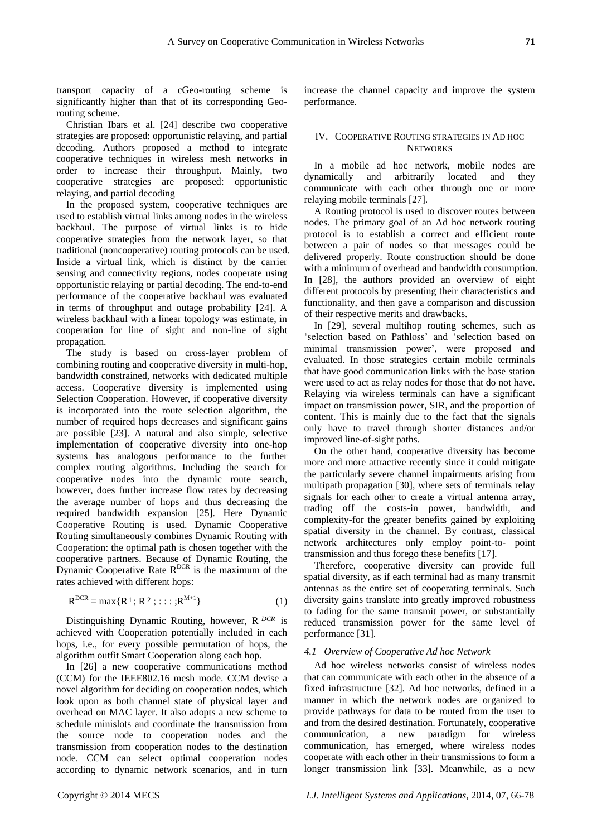transport capacity of a cGeo-routing scheme is significantly higher than that of its corresponding Georouting scheme.

Christian Ibars et al. [24] describe two cooperative strategies are proposed: opportunistic relaying, and partial decoding. Authors proposed a method to integrate cooperative techniques in wireless mesh networks in order to increase their throughput. Mainly, two cooperative strategies are proposed: opportunistic relaying, and partial decoding

In the proposed system, cooperative techniques are used to establish virtual links among nodes in the wireless backhaul. The purpose of virtual links is to hide cooperative strategies from the network layer, so that traditional (noncooperative) routing protocols can be used. Inside a virtual link, which is distinct by the carrier sensing and connectivity regions, nodes cooperate using opportunistic relaying or partial decoding. The end-to-end performance of the cooperative backhaul was evaluated in terms of throughput and outage probability [24]. A wireless backhaul with a linear topology was estimate, in cooperation for line of sight and non-line of sight propagation.

The study is based on cross-layer problem of combining routing and cooperative diversity in multi-hop, bandwidth constrained, networks with dedicated multiple access. Cooperative diversity is implemented using Selection Cooperation. However, if cooperative diversity is incorporated into the route selection algorithm, the number of required hops decreases and significant gains are possible [23]. A natural and also simple, selective implementation of cooperative diversity into one-hop systems has analogous performance to the further complex routing algorithms. Including the search for cooperative nodes into the dynamic route search, however, does further increase flow rates by decreasing the average number of hops and thus decreasing the required bandwidth expansion [25]. Here Dynamic Cooperative Routing is used. Dynamic Cooperative Routing simultaneously combines Dynamic Routing with Cooperation: the optimal path is chosen together with the cooperative partners. Because of Dynamic Routing, the Dynamic Cooperative Rate  $R^{DCR}$  is the maximum of the rates achieved with different hops:

$$
R^{DCR} = \max\{R^1; R^2; \dots; R^{M+1}\}\tag{1}
$$

Distinguishing Dynamic Routing, however, R *DCR* is achieved with Cooperation potentially included in each hops, i.e., for every possible permutation of hops, the algorithm outfit Smart Cooperation along each hop.

In [26] a new cooperative communications method (CCM) for the IEEE802.16 mesh mode. CCM devise a novel algorithm for deciding on cooperation nodes, which look upon as both channel state of physical layer and overhead on MAC layer. It also adopts a new scheme to schedule minislots and coordinate the transmission from the source node to cooperation nodes and the transmission from cooperation nodes to the destination node. CCM can select optimal cooperation nodes according to dynamic network scenarios, and in turn

increase the channel capacity and improve the system performance.

### IV. COOPERATIVE ROUTING STRATEGIES IN AD HOC **NETWORKS**

In a mobile ad hoc network, mobile nodes are dynamically and arbitrarily located and they communicate with each other through one or more relaying mobile terminals [27].

A Routing protocol is used to discover routes between nodes. The primary goal of an Ad hoc network routing protocol is to establish a correct and efficient route between a pair of nodes so that messages could be delivered properly. Route construction should be done with a minimum of overhead and bandwidth consumption. In [28], the authors provided an overview of eight different protocols by presenting their characteristics and functionality, and then gave a comparison and discussion of their respective merits and drawbacks.

In [29], several multihop routing schemes, such as 'selection based on Pathloss' and 'selection based on minimal transmission power', were proposed and evaluated. In those strategies certain mobile terminals that have good communication links with the base station were used to act as relay nodes for those that do not have. Relaying via wireless terminals can have a significant impact on transmission power, SIR, and the proportion of content. This is mainly due to the fact that the signals only have to travel through shorter distances and/or improved line-of-sight paths.

On the other hand, cooperative diversity has become more and more attractive recently since it could mitigate the particularly severe channel impairments arising from multipath propagation [30], where sets of terminals relay signals for each other to create a virtual antenna array, trading off the costs-in power, bandwidth, and complexity-for the greater benefits gained by exploiting spatial diversity in the channel. By contrast, classical network architectures only employ point-to- point transmission and thus forego these benefits [17].

Therefore, cooperative diversity can provide full spatial diversity, as if each terminal had as many transmit antennas as the entire set of cooperating terminals. Such diversity gains translate into greatly improved robustness to fading for the same transmit power, or substantially reduced transmission power for the same level of performance [31].

#### *4.1 Overview of Cooperative Ad hoc Network*

Ad hoc wireless networks consist of wireless nodes that can communicate with each other in the absence of a fixed infrastructure [32]. Ad hoc networks, defined in a manner in which the network nodes are organized to provide pathways for data to be routed from the user to and from the desired destination. Fortunately, cooperative communication, a new paradigm for wireless communication, has emerged, where wireless nodes cooperate with each other in their transmissions to form a longer transmission link [33]. Meanwhile, as a new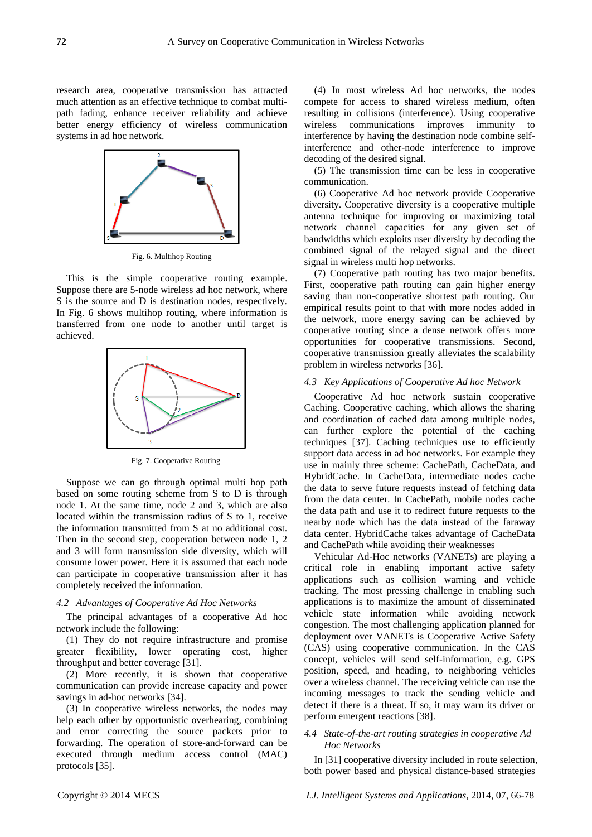research area, cooperative transmission has attracted much attention as an effective technique to combat multipath fading, enhance receiver reliability and achieve better energy efficiency of wireless communication systems in ad hoc network.



Fig. 6. Multihop Routing

This is the simple cooperative routing example. Suppose there are 5-node wireless ad hoc network, where S is the source and D is destination nodes, respectively. In Fig. 6 shows multihop routing, where information is transferred from one node to another until target is achieved.



Fig. 7. Cooperative Routing

Suppose we can go through optimal multi hop path based on some routing scheme from S to D is through node 1. At the same time, node 2 and 3, which are also located within the transmission radius of S to 1, receive the information transmitted from S at no additional cost. Then in the second step, cooperation between node 1, 2 and 3 will form transmission side diversity, which will consume lower power. Here it is assumed that each node can participate in cooperative transmission after it has completely received the information.

### *4.2 Advantages of Cooperative Ad Hoc Networks*

The principal advantages of a cooperative Ad hoc network include the following:

(1) They do not require infrastructure and promise greater flexibility, lower operating cost, higher throughput and better coverage [31].

(2) More recently, it is shown that cooperative communication can provide increase capacity and power savings in ad-hoc networks [34].

(3) In cooperative wireless networks, the nodes may help each other by opportunistic overhearing, combining and error correcting the source packets prior to forwarding. The operation of store-and-forward can be executed through medium access control (MAC) protocols [35].

(4) In most wireless Ad hoc networks, the nodes compete for access to shared wireless medium, often resulting in collisions (interference). Using cooperative wireless communications improves immunity to interference by having the destination node combine selfinterference and other-node interference to improve decoding of the desired signal.

(5) The transmission time can be less in cooperative communication.

(6) Cooperative Ad hoc network provide Cooperative diversity. Cooperative diversity is a cooperative multiple antenna technique for improving or maximizing total network channel capacities for any given set of bandwidths which exploits user diversity by decoding the combined signal of the relayed signal and the direct signal in wireless multi hop networks.

(7) Cooperative path routing has two major benefits. First, cooperative path routing can gain higher energy saving than non-cooperative shortest path routing. Our empirical results point to that with more nodes added in the network, more energy saving can be achieved by cooperative routing since a dense network offers more opportunities for cooperative transmissions. Second, cooperative transmission greatly alleviates the scalability problem in wireless networks [36].

#### *4.3 Key Applications of Cooperative Ad hoc Network*

Cooperative Ad hoc network sustain cooperative Caching. Cooperative caching, which allows the sharing and coordination of cached data among multiple nodes, can further explore the potential of the caching techniques [37]. Caching techniques use to efficiently support data access in ad hoc networks. For example they use in mainly three scheme: CachePath, CacheData, and HybridCache. In CacheData, intermediate nodes cache the data to serve future requests instead of fetching data from the data center. In CachePath, mobile nodes cache the data path and use it to redirect future requests to the nearby node which has the data instead of the faraway data center. HybridCache takes advantage of CacheData and CachePath while avoiding their weaknesses

Vehicular Ad-Hoc networks (VANETs) are playing a critical role in enabling important active safety applications such as collision warning and vehicle tracking. The most pressing challenge in enabling such applications is to maximize the amount of disseminated vehicle state information while avoiding network congestion. The most challenging application planned for deployment over VANETs is Cooperative Active Safety (CAS) using cooperative communication. In the CAS concept, vehicles will send self-information, e.g. GPS position, speed, and heading, to neighboring vehicles over a wireless channel. The receiving vehicle can use the incoming messages to track the sending vehicle and detect if there is a threat. If so, it may warn its driver or perform emergent reactions [38].

#### *4.4 State-of-the-art routing strategies in cooperative Ad Hoc Networks*

In [31] cooperative diversity included in route selection, both power based and physical distance-based strategies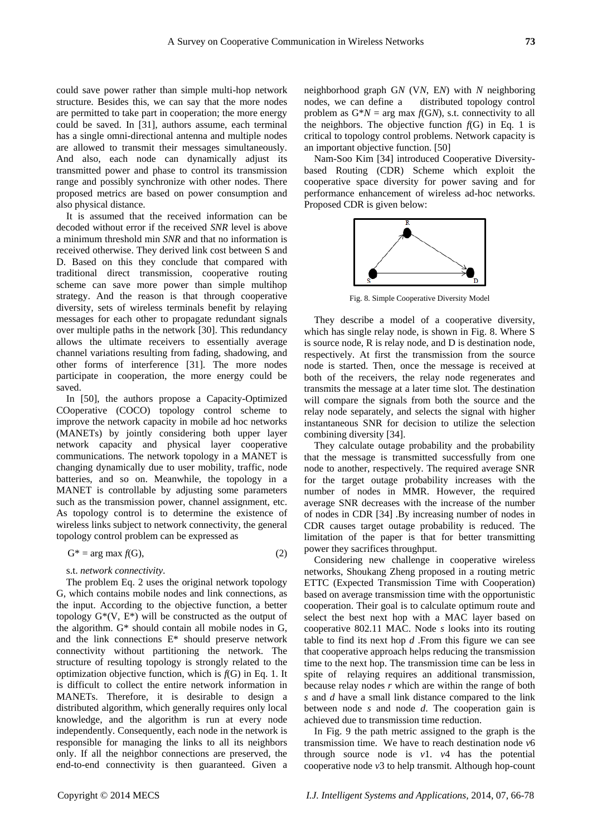could save power rather than simple multi-hop network structure. Besides this, we can say that the more nodes are permitted to take part in cooperation; the more energy could be saved. In [31], authors assume, each terminal has a single omni-directional antenna and multiple nodes are allowed to transmit their messages simultaneously. And also, each node can dynamically adjust its transmitted power and phase to control its transmission range and possibly synchronize with other nodes. There proposed metrics are based on power consumption and also physical distance.

It is assumed that the received information can be decoded without error if the received *SNR* level is above a minimum threshold min *SNR* and that no information is received otherwise. They derived link cost between S and D. Based on this they conclude that compared with traditional direct transmission, cooperative routing scheme can save more power than simple multihop strategy. And the reason is that through cooperative diversity, sets of wireless terminals benefit by relaying messages for each other to propagate redundant signals over multiple paths in the network [30]. This redundancy allows the ultimate receivers to essentially average channel variations resulting from fading, shadowing, and other forms of interference [31]. The more nodes participate in cooperation, the more energy could be saved.

In [50], the authors propose a Capacity-Optimized COoperative (COCO) topology control scheme to improve the network capacity in mobile ad hoc networks (MANETs) by jointly considering both upper layer network capacity and physical layer cooperative communications. The network topology in a MANET is changing dynamically due to user mobility, traffic, node batteries, and so on. Meanwhile, the topology in a MANET is controllable by adjusting some parameters such as the transmission power, channel assignment, etc. As topology control is to determine the existence of wireless links subject to network connectivity, the general topology control problem can be expressed as

$$
G^* = \arg \max f(G),\tag{2}
$$

#### s.t. *network connectivity*.

The problem Eq. 2 uses the original network topology G, which contains mobile nodes and link connections, as the input. According to the objective function, a better topology  $G^*(V, E^*)$  will be constructed as the output of the algorithm. G\* should contain all mobile nodes in G, and the link connections E\* should preserve network connectivity without partitioning the network. The structure of resulting topology is strongly related to the optimization objective function, which is *f*(G) in Eq. 1. It is difficult to collect the entire network information in MANETs. Therefore, it is desirable to design a distributed algorithm, which generally requires only local knowledge, and the algorithm is run at every node independently. Consequently, each node in the network is responsible for managing the links to all its neighbors only. If all the neighbor connections are preserved, the end-to-end connectivity is then guaranteed. Given a

neighborhood graph G*N* (V*N*, E*N*) with *N* neighboring nodes, we can define a distributed topology control problem as  $G^*N = \arg \max f(GN)$ , s.t. connectivity to all the neighbors. The objective function  $f(G)$  in Eq. 1 is critical to topology control problems. Network capacity is an important objective function. [50]

Nam-Soo Kim [34] introduced Cooperative Diversitybased Routing (CDR) Scheme which exploit the cooperative space diversity for power saving and for performance enhancement of wireless ad-hoc networks. Proposed CDR is given below:



Fig. 8. Simple Cooperative Diversity Model

They describe a model of a cooperative diversity, which has single relay node, is shown in Fig. 8. Where S is source node, R is relay node, and D is destination node, respectively. At first the transmission from the source node is started. Then, once the message is received at both of the receivers, the relay node regenerates and transmits the message at a later time slot. The destination will compare the signals from both the source and the relay node separately, and selects the signal with higher instantaneous SNR for decision to utilize the selection combining diversity [34].

They calculate outage probability and the probability that the message is transmitted successfully from one node to another, respectively. The required average SNR for the target outage probability increases with the number of nodes in MMR. However, the required average SNR decreases with the increase of the number of nodes in CDR [34] .By increasing number of nodes in CDR causes target outage probability is reduced. The limitation of the paper is that for better transmitting power they sacrifices throughput.

Considering new challenge in cooperative wireless networks, Shoukang Zheng proposed in a routing metric ETTC (Expected Transmission Time with Cooperation) based on average transmission time with the opportunistic cooperation. Their goal is to calculate optimum route and select the best next hop with a MAC layer based on cooperative 802.11 MAC. Node *s* looks into its routing table to find its next hop *d* .From this figure we can see that cooperative approach helps reducing the transmission time to the next hop. The transmission time can be less in spite of relaying requires an additional transmission, because relay nodes *r* which are within the range of both *s* and *d* have a small link distance compared to the link between node *s* and node *d*. The cooperation gain is achieved due to transmission time reduction.

In Fig. 9 the path metric assigned to the graph is the transmission time. We have to reach destination node *v*6 through source node is *v*1. *v*4 has the potential cooperative node *v*3 to help transmit. Although hop-count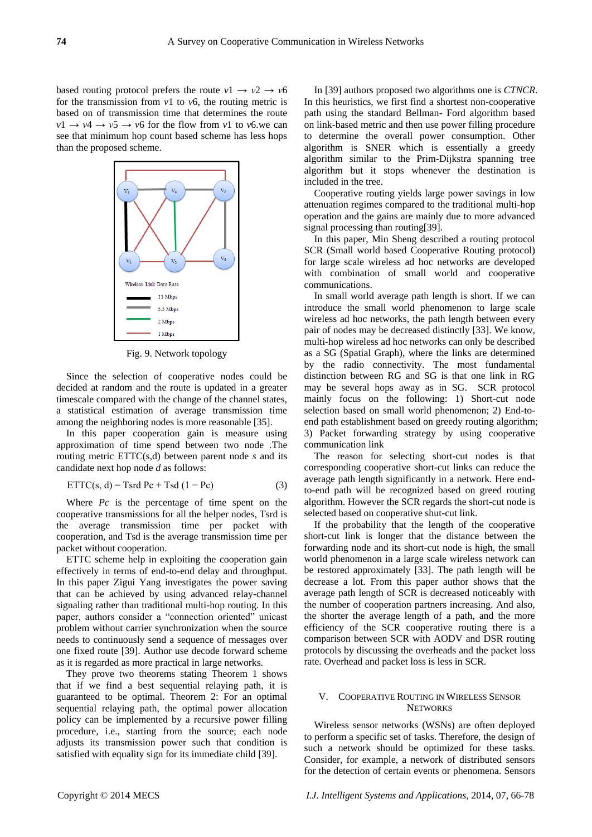based routing protocol prefers the route  $v1 \rightarrow v2 \rightarrow v6$ for the transmission from  $v1$  to  $v6$ , the routing metric is based on of transmission time that determines the route  $v1 \rightarrow v4 \rightarrow v5 \rightarrow v6$  for the flow from *v*1 to *v*6.we can see that minimum hop count based scheme has less hops than the proposed scheme.



Fig. 9. Network topology

Since the selection of cooperative nodes could be decided at random and the route is updated in a greater timescale compared with the change of the channel states, a statistical estimation of average transmission time among the neighboring nodes is more reasonable [35].

In this paper cooperation gain is measure using approximation of time spend between two node .The routing metric ETTC(s,d) between parent node *s* and its candidate next hop node *d* as follows:

$$
ETTC(s, d) = Tsrd Pc + Tsd (1 - Pc)
$$
 (3)

Where *Pc* is the percentage of time spent on the cooperative transmissions for all the helper nodes, Tsrd is the average transmission time per packet with cooperation, and Tsd is the average transmission time per packet without cooperation.

ETTC scheme help in exploiting the cooperation gain effectively in terms of end-to-end delay and throughput. In this paper Zigui Yang investigates the power saving that can be achieved by using advanced relay-channel signaling rather than traditional multi-hop routing. In this paper, authors consider a "connection oriented" unicast problem without carrier synchronization when the source needs to continuously send a sequence of messages over one fixed route [39]. Author use decode forward scheme as it is regarded as more practical in large networks.

They prove two theorems stating Theorem 1 shows that if we find a best sequential relaying path, it is guaranteed to be optimal. Theorem 2: For an optimal sequential relaying path, the optimal power allocation policy can be implemented by a recursive power filling procedure, i.e., starting from the source; each node adjusts its transmission power such that condition is satisfied with equality sign for its immediate child [39].

In [39] authors proposed two algorithms one is *CTNCR*. In this heuristics, we first find a shortest non-cooperative path using the standard Bellman- Ford algorithm based on link-based metric and then use power filling procedure to determine the overall power consumption. Other algorithm is SNER which is essentially a greedy algorithm similar to the Prim-Dijkstra spanning tree algorithm but it stops whenever the destination is included in the tree.

Cooperative routing yields large power savings in low attenuation regimes compared to the traditional multi-hop operation and the gains are mainly due to more advanced signal processing than routing[39].

In this paper, Min Sheng described a routing protocol SCR (Small world based Cooperative Routing protocol) for large scale wireless ad hoc networks are developed with combination of small world and cooperative communications.

In small world average path length is short. If we can introduce the small world phenomenon to large scale wireless ad hoc networks, the path length between every pair of nodes may be decreased distinctly [33]. We know, multi-hop wireless ad hoc networks can only be described as a SG (Spatial Graph), where the links are determined by the radio connectivity. The most fundamental distinction between RG and SG is that one link in RG may be several hops away as in SG. SCR protocol mainly focus on the following: 1) Short-cut node selection based on small world phenomenon; 2) End-toend path establishment based on greedy routing algorithm; 3) Packet forwarding strategy by using cooperative communication link

The reason for selecting short-cut nodes is that corresponding cooperative short-cut links can reduce the average path length significantly in a network. Here endto-end path will be recognized based on greed routing algorithm. However the SCR regards the short-cut node is selected based on cooperative shut-cut link.

If the probability that the length of the cooperative short-cut link is longer that the distance between the forwarding node and its short-cut node is high, the small world phenomenon in a large scale wireless network can be restored approximately [33]. The path length will be decrease a lot. From this paper author shows that the average path length of SCR is decreased noticeably with the number of cooperation partners increasing. And also, the shorter the average length of a path, and the more efficiency of the SCR cooperative routing there is a comparison between SCR with AODV and DSR routing protocols by discussing the overheads and the packet loss rate. Overhead and packet loss is less in SCR.

#### V. COOPERATIVE ROUTING IN WIRELESS SENSOR **NETWORKS**

Wireless sensor networks (WSNs) are often deployed to perform a specific set of tasks. Therefore, the design of such a network should be optimized for these tasks. Consider, for example, a network of distributed sensors for the detection of certain events or phenomena. Sensors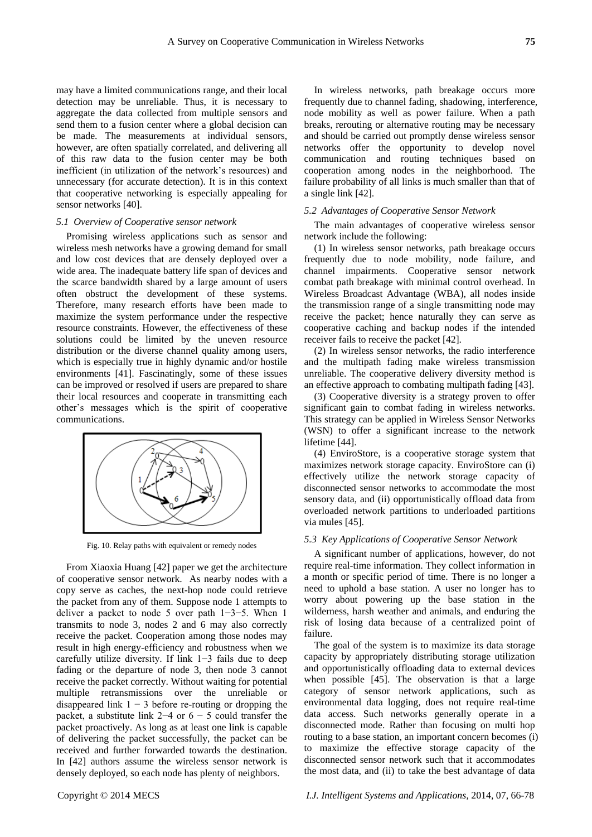may have a limited communications range, and their local detection may be unreliable. Thus, it is necessary to aggregate the data collected from multiple sensors and send them to a fusion center where a global decision can be made. The measurements at individual sensors, however, are often spatially correlated, and delivering all of this raw data to the fusion center may be both inefficient (in utilization of the network's resources) and unnecessary (for accurate detection). It is in this context that cooperative networking is especially appealing for sensor networks [40].

# *5.1 Overview of Cooperative sensor network*

Promising wireless applications such as sensor and wireless mesh networks have a growing demand for small and low cost devices that are densely deployed over a wide area. The inadequate battery life span of devices and the scarce bandwidth shared by a large amount of users often obstruct the development of these systems. Therefore, many research efforts have been made to maximize the system performance under the respective resource constraints. However, the effectiveness of these solutions could be limited by the uneven resource distribution or the diverse channel quality among users, which is especially true in highly dynamic and/or hostile environments [41]. Fascinatingly, some of these issues can be improved or resolved if users are prepared to share their local resources and cooperate in transmitting each other's messages which is the spirit of cooperative communications.



Fig. 10. Relay paths with equivalent or remedy nodes

From Xiaoxia Huang [42] paper we get the architecture of cooperative sensor network. As nearby nodes with a copy serve as caches, the next-hop node could retrieve the packet from any of them. Suppose node 1 attempts to deliver a packet to node 5 over path 1−3−5. When 1 transmits to node 3, nodes 2 and 6 may also correctly receive the packet. Cooperation among those nodes may result in high energy-efficiency and robustness when we carefully utilize diversity. If link 1−3 fails due to deep fading or the departure of node 3, then node 3 cannot receive the packet correctly. Without waiting for potential multiple retransmissions over the unreliable or disappeared link  $1 - 3$  before re-routing or dropping the packet, a substitute link  $2-4$  or  $6-5$  could transfer the packet proactively. As long as at least one link is capable of delivering the packet successfully, the packet can be received and further forwarded towards the destination. In [42] authors assume the wireless sensor network is densely deployed, so each node has plenty of neighbors.

In wireless networks, path breakage occurs more frequently due to channel fading, shadowing, interference, node mobility as well as power failure. When a path breaks, rerouting or alternative routing may be necessary and should be carried out promptly dense wireless sensor networks offer the opportunity to develop novel communication and routing techniques based on cooperation among nodes in the neighborhood. The failure probability of all links is much smaller than that of a single link [42].

#### *5.2 Advantages of Cooperative Sensor Network*

The main advantages of cooperative wireless sensor network include the following:

(1) In wireless sensor networks, path breakage occurs frequently due to node mobility, node failure, and channel impairments. Cooperative sensor network combat path breakage with minimal control overhead. In Wireless Broadcast Advantage (WBA), all nodes inside the transmission range of a single transmitting node may receive the packet; hence naturally they can serve as cooperative caching and backup nodes if the intended receiver fails to receive the packet [42].

(2) In wireless sensor networks, the radio interference and the multipath fading make wireless transmission unreliable. The cooperative delivery diversity method is an effective approach to combating multipath fading [43].

(3) Cooperative diversity is a strategy proven to offer significant gain to combat fading in wireless networks. This strategy can be applied in Wireless Sensor Networks (WSN) to offer a significant increase to the network lifetime [44].

(4) EnviroStore, is a cooperative storage system that maximizes network storage capacity. EnviroStore can (i) effectively utilize the network storage capacity of disconnected sensor networks to accommodate the most sensory data, and (ii) opportunistically offload data from overloaded network partitions to underloaded partitions via mules [45].

### *5.3 Key Applications of Cooperative Sensor Network*

A significant number of applications, however, do not require real-time information. They collect information in a month or specific period of time. There is no longer a need to uphold a base station. A user no longer has to worry about powering up the base station in the wilderness, harsh weather and animals, and enduring the risk of losing data because of a centralized point of failure.

The goal of the system is to maximize its data storage capacity by appropriately distributing storage utilization and opportunistically offloading data to external devices when possible [45]. The observation is that a large category of sensor network applications, such as environmental data logging, does not require real-time data access. Such networks generally operate in a disconnected mode. Rather than focusing on multi hop routing to a base station, an important concern becomes (i) to maximize the effective storage capacity of the disconnected sensor network such that it accommodates the most data, and (ii) to take the best advantage of data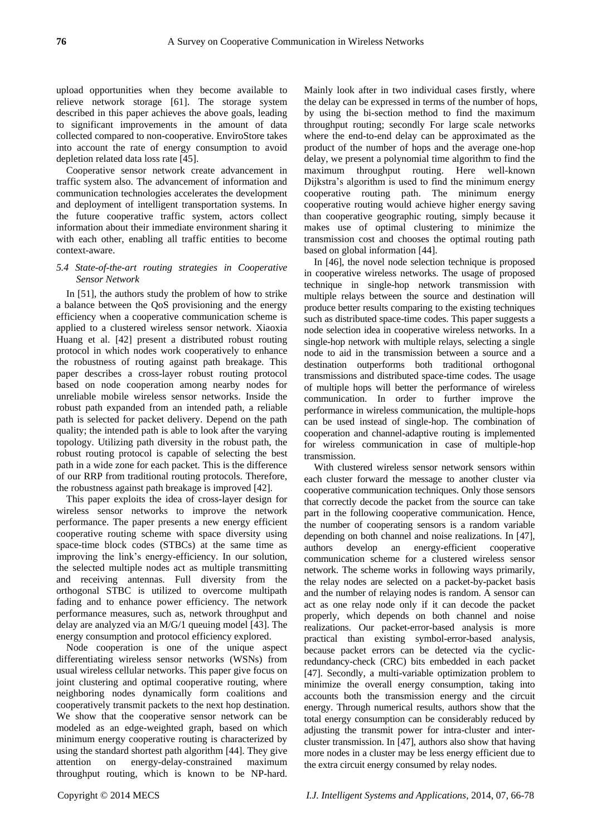upload opportunities when they become available to relieve network storage [61]. The storage system described in this paper achieves the above goals, leading to significant improvements in the amount of data collected compared to non-cooperative. EnviroStore takes into account the rate of energy consumption to avoid depletion related data loss rate [45].

Cooperative sensor network create advancement in traffic system also. The advancement of information and communication technologies accelerates the development and deployment of intelligent transportation systems. In the future cooperative traffic system, actors collect information about their immediate environment sharing it with each other, enabling all traffic entities to become context-aware.

# *5.4 State-of-the-art routing strategies in Cooperative Sensor Network*

In [51], the authors study the problem of how to strike a balance between the QoS provisioning and the energy efficiency when a cooperative communication scheme is applied to a clustered wireless sensor network. Xiaoxia Huang et al. [42] present a distributed robust routing protocol in which nodes work cooperatively to enhance the robustness of routing against path breakage. This paper describes a cross-layer robust routing protocol based on node cooperation among nearby nodes for unreliable mobile wireless sensor networks. Inside the robust path expanded from an intended path, a reliable path is selected for packet delivery. Depend on the path quality; the intended path is able to look after the varying topology. Utilizing path diversity in the robust path, the robust routing protocol is capable of selecting the best path in a wide zone for each packet. This is the difference of our RRP from traditional routing protocols. Therefore, the robustness against path breakage is improved [42].

This paper exploits the idea of cross-layer design for wireless sensor networks to improve the network performance. The paper presents a new energy efficient cooperative routing scheme with space diversity using space-time block codes (STBCs) at the same time as improving the link's energy-efficiency. In our solution, the selected multiple nodes act as multiple transmitting and receiving antennas. Full diversity from the orthogonal STBC is utilized to overcome multipath fading and to enhance power efficiency. The network performance measures, such as, network throughput and delay are analyzed via an M/G/1 queuing model [43]. The energy consumption and protocol efficiency explored.

Node cooperation is one of the unique aspect differentiating wireless sensor networks (WSNs) from usual wireless cellular networks. This paper give focus on joint clustering and optimal cooperative routing, where neighboring nodes dynamically form coalitions and cooperatively transmit packets to the next hop destination. We show that the cooperative sensor network can be modeled as an edge-weighted graph, based on which minimum energy cooperative routing is characterized by using the standard shortest path algorithm [44]. They give attention on energy-delay-constrained maximum throughput routing, which is known to be NP-hard.

Mainly look after in two individual cases firstly, where the delay can be expressed in terms of the number of hops, by using the bi-section method to find the maximum throughput routing; secondly For large scale networks where the end-to-end delay can be approximated as the product of the number of hops and the average one-hop delay, we present a polynomial time algorithm to find the maximum throughput routing. Here well-known Dijkstra's algorithm is used to find the minimum energy cooperative routing path. The minimum energy cooperative routing would achieve higher energy saving than cooperative geographic routing, simply because it makes use of optimal clustering to minimize the transmission cost and chooses the optimal routing path based on global information [44].

In [46], the novel node selection technique is proposed in cooperative wireless networks. The usage of proposed technique in single-hop network transmission with multiple relays between the source and destination will produce better results comparing to the existing techniques such as distributed space-time codes. This paper suggests a node selection idea in cooperative wireless networks. In a single-hop network with multiple relays, selecting a single node to aid in the transmission between a source and a destination outperforms both traditional orthogonal transmissions and distributed space-time codes. The usage of multiple hops will better the performance of wireless communication. In order to further improve the performance in wireless communication, the multiple-hops can be used instead of single-hop. The combination of cooperation and channel-adaptive routing is implemented for wireless communication in case of multiple-hop transmission.

With clustered wireless sensor network sensors within each cluster forward the message to another cluster via cooperative communication techniques. Only those sensors that correctly decode the packet from the source can take part in the following cooperative communication. Hence, the number of cooperating sensors is a random variable depending on both channel and noise realizations. In [47], authors develop an energy-efficient cooperative communication scheme for a clustered wireless sensor network. The scheme works in following ways primarily, the relay nodes are selected on a packet-by-packet basis and the number of relaying nodes is random. A sensor can act as one relay node only if it can decode the packet properly, which depends on both channel and noise realizations. Our packet-error-based analysis is more practical than existing symbol-error-based analysis, because packet errors can be detected via the cyclicredundancy-check (CRC) bits embedded in each packet [47]. Secondly, a multi-variable optimization problem to minimize the overall energy consumption, taking into accounts both the transmission energy and the circuit energy. Through numerical results, authors show that the total energy consumption can be considerably reduced by adjusting the transmit power for intra-cluster and intercluster transmission. In [47], authors also show that having more nodes in a cluster may be less energy efficient due to the extra circuit energy consumed by relay nodes.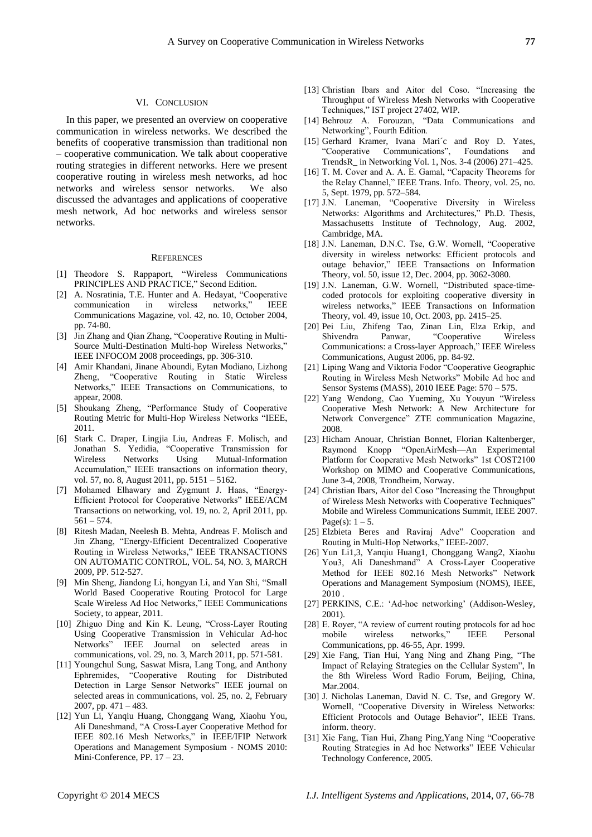#### VI. CONCLUSION

In this paper, we presented an overview on cooperative communication in wireless networks. We described the benefits of cooperative transmission than traditional non – cooperative communication. We talk about cooperative routing strategies in different networks. Here we present cooperative routing in wireless mesh networks, ad hoc networks and wireless sensor networks. We also discussed the advantages and applications of cooperative mesh network, Ad hoc networks and wireless sensor networks.

#### **REFERENCES**

- [1] Theodore S. Rappaport, "Wireless Communications PRINCIPLES AND PRACTICE," Second Edition.
- [2] A. Nosratinia, T.E. Hunter and A. Hedayat, "Cooperative communication in wireless networks," IEEE Communications Magazine, vol. 42, no. 10, October 2004, pp. 74-80.
- [3] Jin Zhang and Qian Zhang, "Cooperative Routing in Multi-Source Multi-Destination Multi-hop Wireless Networks," IEEE INFOCOM 2008 proceedings, pp. 306-310.
- [4] Amir Khandani, Jinane Aboundi, Eytan Modiano, Lizhong Zheng, "Cooperative Routing in Static Wireless Networks," IEEE Transactions on Communications, to appear, 2008.
- [5] Shoukang Zheng, "Performance Study of Cooperative Routing Metric for Multi-Hop Wireless Networks "IEEE, 2011.
- [6] Stark C. Draper, Lingjia Liu, Andreas F. Molisch, and Jonathan S. Yedidia, "Cooperative Transmission for Wireless Networks Using Mutual-Information Accumulation," IEEE transactions on information theory, vol. 57, no. 8, August 2011, pp. 5151 – 5162.
- [7] Mohamed Elhawary and Zygmunt J. Haas, "Energy-Efficient Protocol for Cooperative Networks" IEEE/ACM Transactions on networking, vol. 19, no. 2, April 2011, pp.  $561 - 574.$
- [8] Ritesh Madan, Neelesh B. Mehta*,* Andreas F. Molisch and Jin Zhang, "Energy-Efficient Decentralized Cooperative Routing in Wireless Networks," IEEE TRANSACTIONS ON AUTOMATIC CONTROL, VOL. 54, NO. 3, MARCH 2009, PP. 512-527.
- [9] Min Sheng, Jiandong Li, hongyan Li, and Yan Shi, "Small" World Based Cooperative Routing Protocol for Large Scale Wireless Ad Hoc Networks," IEEE Communications Society, to appear, 2011.
- [10] Zhiguo Ding and Kin K. Leung, "Cross-Layer Routing Using Cooperative Transmission in Vehicular Ad-hoc Networks‖ IEEE Journal on selected areas in communications, vol. 29, no. 3, March 2011, pp. 571-581.
- [11] Youngchul Sung, Saswat Misra, Lang Tong, and Anthony Ephremides, "Cooperative Routing for Distributed Detection in Large Sensor Networks" IEEE journal on selected areas in communications, vol. 25, no. 2, February 2007, pp.  $471 - 483$ .
- [12] Yun Li, Yanqiu Huang, Chonggang Wang, Xiaohu You, Ali Daneshmand, "A Cross-Layer Cooperative Method for IEEE 802.16 Mesh Networks," in IEEE/IFIP Network Operations and Management Symposium - NOMS 2010: Mini-Conference, PP. 17 – 23.
- [13] Christian Ibars and Aitor del Coso. "Increasing the Throughput of Wireless Mesh Networks with Cooperative Techniques," IST project 27402, WIP.
- [14] Behrouz A. Forouzan, "Data Communications and Networking", Fourth Edition.
- [15] Gerhard Kramer, Ivana Marić and Roy D. Yates, ―Cooperative Communications‖, Foundations and TrendsR\_ in Networking Vol. 1, Nos. 3-4 (2006) 271–425.
- [16] T. M. Cover and A. A. E. Gamal, "Capacity Theorems for the Relay Channel," IEEE Trans. Info. Theory, vol. 25, no. 5, Sept. 1979, pp. 572–584.
- [17] J.N. Laneman, "Cooperative Diversity in Wireless Networks: Algorithms and Architectures," Ph.D. Thesis, Massachusetts Institute of Technology, Aug. 2002, Cambridge, MA.
- [18] J.N. Laneman, D.N.C. Tse, G.W. Wornell, "Cooperative diversity in wireless networks: Efficient protocols and outage behavior," IEEE Transactions on Information Theory, vol. 50, issue 12, Dec. 2004, pp. 3062-3080.
- [19] J.N. Laneman, G.W. Wornell, "Distributed space-timecoded protocols for exploiting cooperative diversity in wireless networks," IEEE Transactions on Information Theory, vol. 49, issue 10, Oct. 2003, pp. 2415–25.
- [20] Pei Liu, Zhifeng Tao, Zinan Lin, Elza Erkip, and Shivendra Panwar, 
"Cooperative Wireless Communications: a Cross-layer Approach," IEEE Wireless Communications, August 2006, pp. 84-92.
- [21] Liping Wang and Viktoria Fodor "Cooperative Geographic Routing in Wireless Mesh Networks" Mobile Ad hoc and Sensor Systems (MASS), 2010 IEEE Page: 570 – 575.
- [22] Yang Wendong, Cao Yueming, Xu Youyun "Wireless Cooperative Mesh Network: A New Architecture for Network Convergence" ZTE communication Magazine, 2008.
- [23] Hicham Anouar, Christian Bonnet, Florian Kaltenberger, Raymond Knopp 
"OpenAirMesh—An Experimental Platform for Cooperative Mesh Networks" 1st COST2100 Workshop on MIMO and Cooperative Communications, June 3-4, 2008, Trondheim, Norway.
- [24] Christian Ibars, Aitor del Coso "Increasing the Throughput of Wireless Mesh Networks with Cooperative Techniques" Mobile and Wireless Communications Summit, IEEE 2007. Page(s):  $1 - 5$ .
- [25] Elzbieta Beres and Raviraj Adve" Cooperation and Routing in Multi-Hop Networks," IEEE-2007.
- [26] Yun Li1,3, Yanqiu Huang1, Chonggang Wang2, Xiaohu You3, Ali Daneshmand" A Cross-Layer Cooperative Method for IEEE 802.16 Mesh Networks" Network Operations and Management Symposium (NOMS), IEEE, 2010 .
- [27] PERKINS, C.E.: 'Ad-hoc networking' (Addison-Wesley, 2001).
- [28] E. Royer, "A review of current routing protocols for ad hoc mobile wireless networks," IEEE Personal Communications, pp. 46-55, Apr. 1999.
- [29] Xie Fang, Tian Hui, Yang Ning and Zhang Ping, "The Impact of Relaying Strategies on the Cellular System", In the 8th Wireless Word Radio Forum, Beijing, China, Mar.2004.
- [30] J. Nicholas Laneman, David N. C. Tse, and Gregory W. Wornell, "Cooperative Diversity in Wireless Networks: Efficient Protocols and Outage Behavior", IEEE Trans. inform. theory.
- [31] Xie Fang, Tian Hui, Zhang Ping, Yang Ning "Cooperative Routing Strategies in Ad hoc Networks" IEEE Vehicular Technology Conference, 2005.